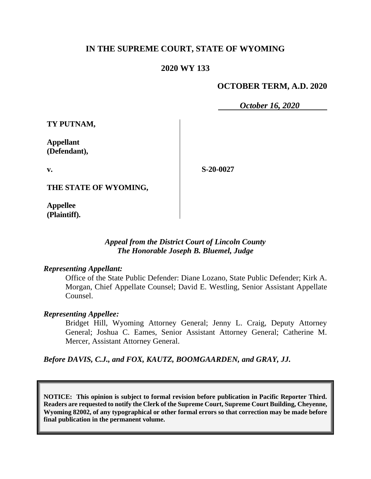## **IN THE SUPREME COURT, STATE OF WYOMING**

#### **2020 WY 133**

#### **OCTOBER TERM, A.D. 2020**

*October 16, 2020*

**TY PUTNAM,**

**Appellant (Defendant),**

**v.**

**S-20-0027**

**THE STATE OF WYOMING,**

**Appellee (Plaintiff).**

#### *Appeal from the District Court of Lincoln County The Honorable Joseph B. Bluemel, Judge*

#### *Representing Appellant:*

Office of the State Public Defender: Diane Lozano, State Public Defender; Kirk A. Morgan, Chief Appellate Counsel; David E. Westling, Senior Assistant Appellate Counsel.

#### *Representing Appellee:*

Bridget Hill, Wyoming Attorney General; Jenny L. Craig, Deputy Attorney General; Joshua C. Eames, Senior Assistant Attorney General; Catherine M. Mercer, Assistant Attorney General.

*Before DAVIS, C.J., and FOX, KAUTZ, BOOMGAARDEN, and GRAY, JJ.*

**NOTICE: This opinion is subject to formal revision before publication in Pacific Reporter Third. Readers are requested to notify the Clerk of the Supreme Court, Supreme Court Building, Cheyenne, Wyoming 82002, of any typographical or other formal errors so that correction may be made before final publication in the permanent volume.**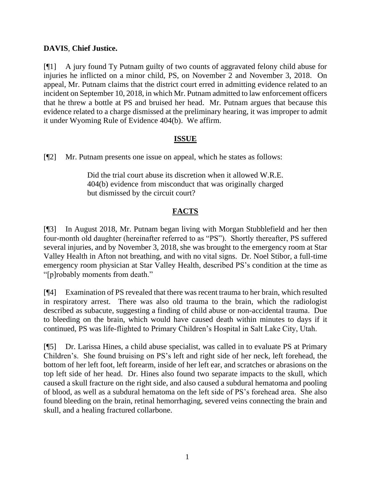### **DAVIS**, **Chief Justice.**

[¶1] A jury found Ty Putnam guilty of two counts of aggravated felony child abuse for injuries he inflicted on a minor child, PS, on November 2 and November 3, 2018. On appeal, Mr. Putnam claims that the district court erred in admitting evidence related to an incident on September 10, 2018, in which Mr. Putnam admitted to law enforcement officers that he threw a bottle at PS and bruised her head. Mr. Putnam argues that because this evidence related to a charge dismissed at the preliminary hearing, it was improper to admit it under Wyoming Rule of Evidence 404(b). We affirm.

#### **ISSUE**

[¶2] Mr. Putnam presents one issue on appeal, which he states as follows:

Did the trial court abuse its discretion when it allowed W.R.E. 404(b) evidence from misconduct that was originally charged but dismissed by the circuit court?

## **FACTS**

[¶3] In August 2018, Mr. Putnam began living with Morgan Stubblefield and her then four-month old daughter (hereinafter referred to as "PS"). Shortly thereafter, PS suffered several injuries, and by November 3, 2018, she was brought to the emergency room at Star Valley Health in Afton not breathing, and with no vital signs. Dr. Noel Stibor, a full-time emergency room physician at Star Valley Health, described PS's condition at the time as "[p]robably moments from death."

[¶4] Examination of PS revealed that there was recent trauma to her brain, which resulted in respiratory arrest. There was also old trauma to the brain, which the radiologist described as subacute, suggesting a finding of child abuse or non-accidental trauma. Due to bleeding on the brain, which would have caused death within minutes to days if it continued, PS was life-flighted to Primary Children's Hospital in Salt Lake City, Utah.

[¶5] Dr. Larissa Hines, a child abuse specialist, was called in to evaluate PS at Primary Children's. She found bruising on PS's left and right side of her neck, left forehead, the bottom of her left foot, left forearm, inside of her left ear, and scratches or abrasions on the top left side of her head. Dr. Hines also found two separate impacts to the skull, which caused a skull fracture on the right side, and also caused a subdural hematoma and pooling of blood, as well as a subdural hematoma on the left side of PS's forehead area. She also found bleeding on the brain, retinal hemorrhaging, severed veins connecting the brain and skull, and a healing fractured collarbone.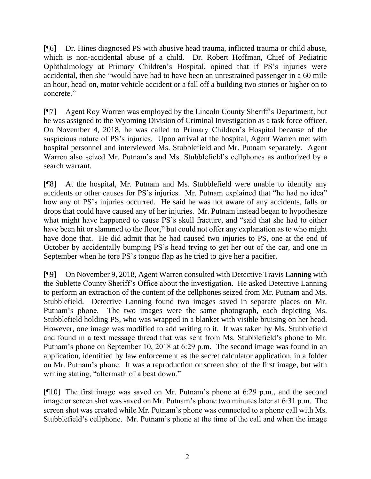[¶6] Dr. Hines diagnosed PS with abusive head trauma, inflicted trauma or child abuse, which is non-accidental abuse of a child. Dr. Robert Hoffman, Chief of Pediatric Ophthalmology at Primary Children's Hospital, opined that if PS's injuries were accidental, then she "would have had to have been an unrestrained passenger in a 60 mile an hour, head-on, motor vehicle accident or a fall off a building two stories or higher on to concrete."

[¶7] Agent Roy Warren was employed by the Lincoln County Sheriff's Department, but he was assigned to the Wyoming Division of Criminal Investigation as a task force officer. On November 4, 2018, he was called to Primary Children's Hospital because of the suspicious nature of PS's injuries. Upon arrival at the hospital, Agent Warren met with hospital personnel and interviewed Ms. Stubblefield and Mr. Putnam separately. Agent Warren also seized Mr. Putnam's and Ms. Stubblefield's cellphones as authorized by a search warrant.

[¶8] At the hospital, Mr. Putnam and Ms. Stubblefield were unable to identify any accidents or other causes for PS's injuries. Mr. Putnam explained that "he had no idea" how any of PS's injuries occurred. He said he was not aware of any accidents, falls or drops that could have caused any of her injuries. Mr. Putnam instead began to hypothesize what might have happened to cause PS's skull fracture, and "said that she had to either have been hit or slammed to the floor," but could not offer any explanation as to who might have done that. He did admit that he had caused two injuries to PS, one at the end of October by accidentally bumping PS's head trying to get her out of the car, and one in September when he tore PS's tongue flap as he tried to give her a pacifier.

[¶9] On November 9, 2018, Agent Warren consulted with Detective Travis Lanning with the Sublette County Sheriff's Office about the investigation. He asked Detective Lanning to perform an extraction of the content of the cellphones seized from Mr. Putnam and Ms. Stubblefield. Detective Lanning found two images saved in separate places on Mr. Putnam's phone. The two images were the same photograph, each depicting Ms. Stubblefield holding PS, who was wrapped in a blanket with visible bruising on her head. However, one image was modified to add writing to it. It was taken by Ms. Stubblefield and found in a text message thread that was sent from Ms. Stubblefield's phone to Mr. Putnam's phone on September 10, 2018 at 6:29 p.m. The second image was found in an application, identified by law enforcement as the secret calculator application, in a folder on Mr. Putnam's phone. It was a reproduction or screen shot of the first image, but with writing stating, "aftermath of a beat down."

[¶10] The first image was saved on Mr. Putnam's phone at 6:29 p.m., and the second image or screen shot was saved on Mr. Putnam's phone two minutes later at 6:31 p.m. The screen shot was created while Mr. Putnam's phone was connected to a phone call with Ms. Stubblefield's cellphone. Mr. Putnam's phone at the time of the call and when the image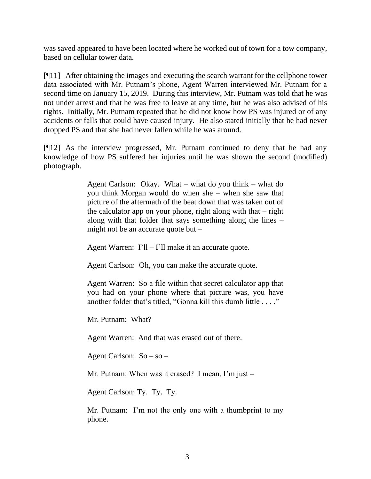was saved appeared to have been located where he worked out of town for a tow company, based on cellular tower data.

[¶11] After obtaining the images and executing the search warrant for the cellphone tower data associated with Mr. Putnam's phone, Agent Warren interviewed Mr. Putnam for a second time on January 15, 2019. During this interview, Mr. Putnam was told that he was not under arrest and that he was free to leave at any time, but he was also advised of his rights. Initially, Mr. Putnam repeated that he did not know how PS was injured or of any accidents or falls that could have caused injury. He also stated initially that he had never dropped PS and that she had never fallen while he was around.

[¶12] As the interview progressed, Mr. Putnam continued to deny that he had any knowledge of how PS suffered her injuries until he was shown the second (modified) photograph.

> Agent Carlson: Okay. What – what do you think – what do you think Morgan would do when she – when she saw that picture of the aftermath of the beat down that was taken out of the calculator app on your phone, right along with that  $-$  right along with that folder that says something along the lines – might not be an accurate quote but –

Agent Warren:  $I'll - I'll$  make it an accurate quote.

Agent Carlson: Oh, you can make the accurate quote.

Agent Warren: So a file within that secret calculator app that you had on your phone where that picture was, you have another folder that's titled, "Gonna kill this dumb little . . . ."

Mr. Putnam: What?

Agent Warren: And that was erased out of there.

Agent Carlson: So – so –

Mr. Putnam: When was it erased? I mean, I'm just –

Agent Carlson: Ty. Ty. Ty.

Mr. Putnam: I'm not the only one with a thumbprint to my phone.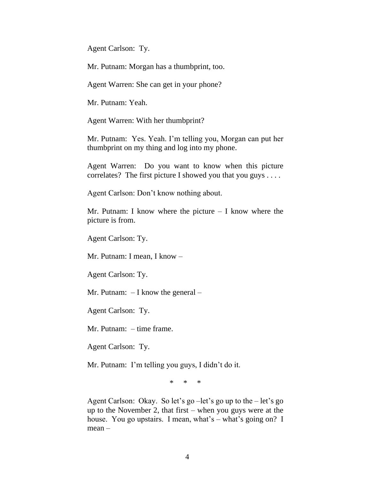Agent Carlson: Ty.

Mr. Putnam: Morgan has a thumbprint, too.

Agent Warren: She can get in your phone?

Mr. Putnam: Yeah.

Agent Warren: With her thumbprint?

Mr. Putnam: Yes. Yeah. I'm telling you, Morgan can put her thumbprint on my thing and log into my phone.

Agent Warren: Do you want to know when this picture correlates? The first picture I showed you that you guys . . . .

Agent Carlson: Don't know nothing about.

Mr. Putnam: I know where the picture  $-$  I know where the picture is from.

Agent Carlson: Ty.

Mr. Putnam: I mean, I know –

Agent Carlson: Ty.

Mr. Putnam: – I know the general –

Agent Carlson: Ty.

Mr. Putnam: – time frame.

Agent Carlson: Ty.

Mr. Putnam: I'm telling you guys, I didn't do it.

\* \* \*

Agent Carlson: Okay. So let's go –let's go up to the – let's go up to the November 2, that first – when you guys were at the house. You go upstairs. I mean, what's – what's going on? I mean –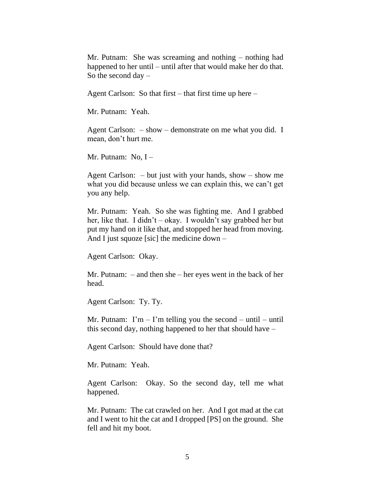Mr. Putnam: She was screaming and nothing – nothing had happened to her until – until after that would make her do that. So the second day –

Agent Carlson: So that first – that first time up here –

Mr. Putnam: Yeah.

Agent Carlson: – show – demonstrate on me what you did. I mean, don't hurt me.

Mr. Putnam:  $No, I -$ 

Agent Carlson: – but just with your hands, show – show me what you did because unless we can explain this, we can't get you any help.

Mr. Putnam: Yeah. So she was fighting me. And I grabbed her, like that. I didn't – okay. I wouldn't say grabbed her but put my hand on it like that, and stopped her head from moving. And I just squoze [sic] the medicine down –

Agent Carlson: Okay.

Mr. Putnam: – and then she – her eyes went in the back of her head.

Agent Carlson: Ty. Ty.

Mr. Putnam: I'm  $-$  I'm telling you the second  $-$  until  $-$  until this second day, nothing happened to her that should have –

Agent Carlson: Should have done that?

Mr. Putnam: Yeah.

Agent Carlson: Okay. So the second day, tell me what happened.

Mr. Putnam: The cat crawled on her. And I got mad at the cat and I went to hit the cat and I dropped [PS] on the ground. She fell and hit my boot.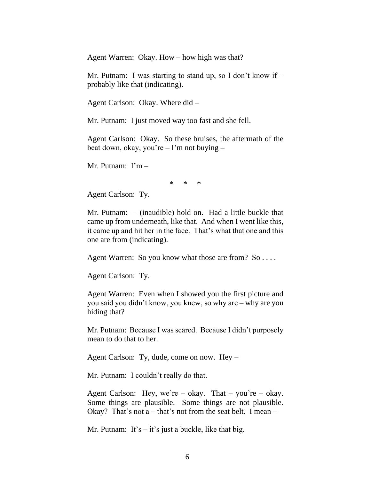Agent Warren: Okay. How – how high was that?

Mr. Putnam: I was starting to stand up, so I don't know if  $$ probably like that (indicating).

Agent Carlson: Okay. Where did –

Mr. Putnam: I just moved way too fast and she fell.

Agent Carlson: Okay. So these bruises, the aftermath of the beat down, okay, you're – I'm not buying –

Mr. Putnam: I'm –

\* \* \*

Agent Carlson: Ty.

Mr. Putnam: – (inaudible) hold on. Had a little buckle that came up from underneath, like that. And when I went like this, it came up and hit her in the face. That's what that one and this one are from (indicating).

Agent Warren: So you know what those are from? So ....

Agent Carlson: Ty.

Agent Warren: Even when I showed you the first picture and you said you didn't know, you knew, so why are – why are you hiding that?

Mr. Putnam: Because I was scared. Because I didn't purposely mean to do that to her.

Agent Carlson: Ty, dude, come on now. Hey –

Mr. Putnam: I couldn't really do that.

Agent Carlson: Hey, we're – okay. That – you're – okay. Some things are plausible. Some things are not plausible. Okay? That's not  $a$  – that's not from the seat belt. I mean –

Mr. Putnam: It's – it's just a buckle, like that big.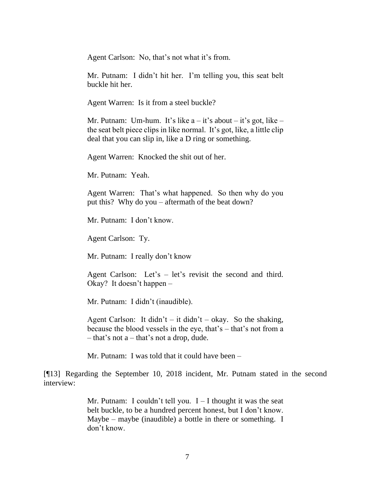Agent Carlson: No, that's not what it's from.

Mr. Putnam: I didn't hit her. I'm telling you, this seat belt buckle hit her.

Agent Warren: Is it from a steel buckle?

Mr. Putnam: Um-hum. It's like  $a - it$ 's about – it's got, like – the seat belt piece clips in like normal. It's got, like, a little clip deal that you can slip in, like a D ring or something.

Agent Warren: Knocked the shit out of her.

Mr. Putnam: Yeah.

Agent Warren: That's what happened. So then why do you put this? Why do you – aftermath of the beat down?

Mr. Putnam: I don't know.

Agent Carlson: Ty.

Mr. Putnam: I really don't know

Agent Carlson: Let's – let's revisit the second and third. Okay? It doesn't happen –

Mr. Putnam: I didn't (inaudible).

Agent Carlson: It didn't – it didn't – okay. So the shaking, because the blood vessels in the eye, that's – that's not from a – that's not a – that's not a drop, dude.

Mr. Putnam: I was told that it could have been –

[¶13] Regarding the September 10, 2018 incident, Mr. Putnam stated in the second interview:

> Mr. Putnam: I couldn't tell you.  $I - I$  thought it was the seat belt buckle, to be a hundred percent honest, but I don't know. Maybe – maybe (inaudible) a bottle in there or something. I don't know.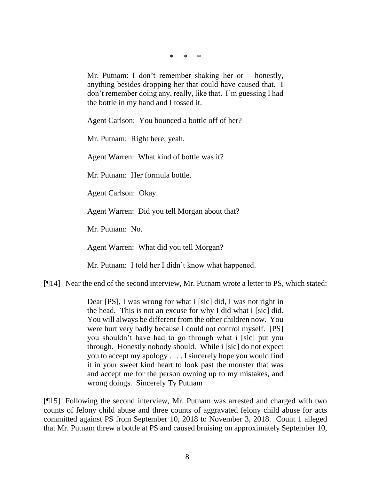\* \* \*

Mr. Putnam: I don't remember shaking her or – honestly, anything besides dropping her that could have caused that. I don't remember doing any, really, like that. I'm guessing I had the bottle in my hand and I tossed it.

Agent Carlson: You bounced a bottle off of her?

Mr. Putnam: Right here, yeah.

Agent Warren: What kind of bottle was it?

Mr. Putnam: Her formula bottle.

Agent Carlson: Okay.

Agent Warren: Did you tell Morgan about that?

Mr. Putnam: No.

Agent Warren: What did you tell Morgan?

Mr. Putnam: I told her I didn't know what happened.

[¶14] Near the end of the second interview, Mr. Putnam wrote a letter to PS, which stated:

Dear [PS], I was wrong for what i [sic] did, I was not right in the head. This is not an excuse for why I did what i [sic] did. You will always be different from the other children now. You were hurt very badly because I could not control myself. [PS] you shouldn't have had to go through what i [sic] put you through. Honestly nobody should. While i [sic] do not expect you to accept my apology . . . . I sincerely hope you would find it in your sweet kind heart to look past the monster that was and accept me for the person owning up to my mistakes, and wrong doings. Sincerely Ty Putnam

[¶15] Following the second interview, Mr. Putnam was arrested and charged with two counts of felony child abuse and three counts of aggravated felony child abuse for acts committed against PS from September 10, 2018 to November 3, 2018. Count 1 alleged that Mr. Putnam threw a bottle at PS and caused bruising on approximately September 10,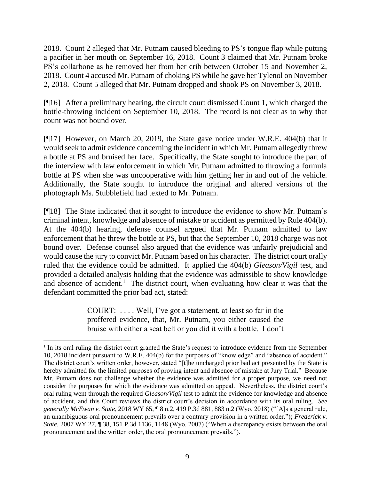2018. Count 2 alleged that Mr. Putnam caused bleeding to PS's tongue flap while putting a pacifier in her mouth on September 16, 2018. Count 3 claimed that Mr. Putnam broke PS's collarbone as he removed her from her crib between October 15 and November 2, 2018. Count 4 accused Mr. Putnam of choking PS while he gave her Tylenol on November 2, 2018. Count 5 alleged that Mr. Putnam dropped and shook PS on November 3, 2018.

[¶16] After a preliminary hearing, the circuit court dismissed Count 1, which charged the bottle-throwing incident on September 10, 2018. The record is not clear as to why that count was not bound over.

[¶17] However, on March 20, 2019, the State gave notice under W.R.E. 404(b) that it would seek to admit evidence concerning the incident in which Mr. Putnam allegedly threw a bottle at PS and bruised her face. Specifically, the State sought to introduce the part of the interview with law enforcement in which Mr. Putnam admitted to throwing a formula bottle at PS when she was uncooperative with him getting her in and out of the vehicle. Additionally, the State sought to introduce the original and altered versions of the photograph Ms. Stubblefield had texted to Mr. Putnam.

[¶18] The State indicated that it sought to introduce the evidence to show Mr. Putnam's criminal intent, knowledge and absence of mistake or accident as permitted by Rule 404(b). At the 404(b) hearing, defense counsel argued that Mr. Putnam admitted to law enforcement that he threw the bottle at PS, but that the September 10, 2018 charge was not bound over. Defense counsel also argued that the evidence was unfairly prejudicial and would cause the jury to convict Mr. Putnam based on his character. The district court orally ruled that the evidence could be admitted. It applied the 404(b) *Gleason/Vigil* test, and provided a detailed analysis holding that the evidence was admissible to show knowledge and absence of accident.<sup>1</sup> The district court, when evaluating how clear it was that the defendant committed the prior bad act, stated:

> COURT: . . . . Well, I've got a statement, at least so far in the proffered evidence, that, Mr. Putnam, you either caused the bruise with either a seat belt or you did it with a bottle. I don't

<sup>&</sup>lt;sup>1</sup> In its oral ruling the district court granted the State's request to introduce evidence from the September 10, 2018 incident pursuant to W.R.E. 404(b) for the purposes of "knowledge" and "absence of accident." The district court's written order, however, stated "[t]he uncharged prior bad act presented by the State is hereby admitted for the limited purposes of proving intent and absence of mistake at Jury Trial." Because Mr. Putnam does not challenge whether the evidence was admitted for a proper purpose, we need not consider the purposes for which the evidence was admitted on appeal. Nevertheless, the district court's oral ruling went through the required *Gleason/Vigil* test to admit the evidence for knowledge and absence of accident, and this Court reviews the district court's decision in accordance with its oral ruling. *See generally McEwan v. State*, 2018 WY 65, ¶ 8 n.2, 419 P.3d 881, 883 n.2 (Wyo. 2018) ("[A]s a general rule, an unambiguous oral pronouncement prevails over a contrary provision in a written order."); *Frederick v. State*, 2007 WY 27, ¶ 38, 151 P.3d 1136, 1148 (Wyo. 2007) ("When a discrepancy exists between the oral pronouncement and the written order, the oral pronouncement prevails.").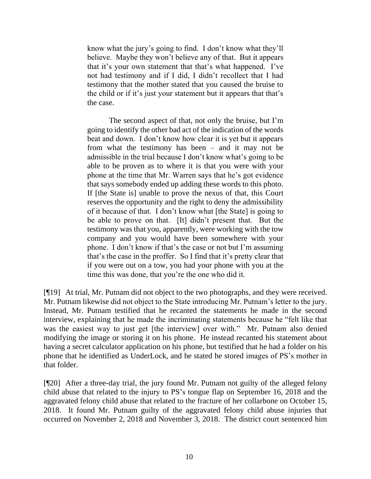know what the jury's going to find. I don't know what they'll believe. Maybe they won't believe any of that. But it appears that it's your own statement that that's what happened. I've not had testimony and if I did, I didn't recollect that I had testimony that the mother stated that you caused the bruise to the child or if it's just your statement but it appears that that's the case.

The second aspect of that, not only the bruise, but I'm going to identify the other bad act of the indication of the words beat and down. I don't know how clear it is yet but it appears from what the testimony has been – and it may not be admissible in the trial because I don't know what's going to be able to be proven as to where it is that you were with your phone at the time that Mr. Warren says that he's got evidence that says somebody ended up adding these words to this photo. If [the State is] unable to prove the nexus of that, this Court reserves the opportunity and the right to deny the admissibility of it because of that. I don't know what [the State] is going to be able to prove on that. [It] didn't present that. But the testimony was that you, apparently, were working with the tow company and you would have been somewhere with your phone. I don't know if that's the case or not but I'm assuming that's the case in the proffer. So I find that it's pretty clear that if you were out on a tow, you had your phone with you at the time this was done, that you're the one who did it.

[¶19] At trial, Mr. Putnam did not object to the two photographs, and they were received. Mr. Putnam likewise did not object to the State introducing Mr. Putnam's letter to the jury. Instead, Mr. Putnam testified that he recanted the statements he made in the second interview, explaining that he made the incriminating statements because he "felt like that was the easiest way to just get [the interview] over with." Mr. Putnam also denied modifying the image or storing it on his phone. He instead recanted his statement about having a secret calculator application on his phone, but testified that he had a folder on his phone that he identified as UnderLock, and he stated he stored images of PS's mother in that folder.

[¶20] After a three-day trial, the jury found Mr. Putnam not guilty of the alleged felony child abuse that related to the injury to PS's tongue flap on September 16, 2018 and the aggravated felony child abuse that related to the fracture of her collarbone on October 15, 2018. It found Mr. Putnam guilty of the aggravated felony child abuse injuries that occurred on November 2, 2018 and November 3, 2018. The district court sentenced him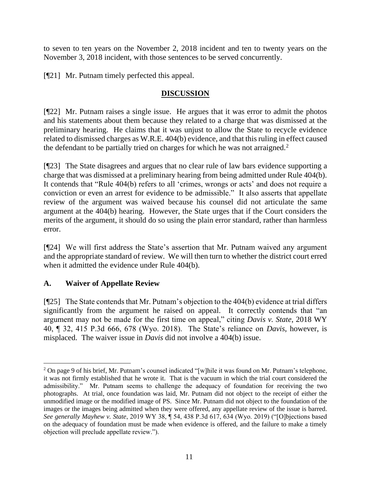to seven to ten years on the November 2, 2018 incident and ten to twenty years on the November 3, 2018 incident, with those sentences to be served concurrently.

[¶21] Mr. Putnam timely perfected this appeal.

# **DISCUSSION**

[¶22] Mr. Putnam raises a single issue. He argues that it was error to admit the photos and his statements about them because they related to a charge that was dismissed at the preliminary hearing. He claims that it was unjust to allow the State to recycle evidence related to dismissed charges as W.R.E. 404(b) evidence, and that this ruling in effect caused the defendant to be partially tried on charges for which he was not arraigned.<sup>2</sup>

[¶23] The State disagrees and argues that no clear rule of law bars evidence supporting a charge that was dismissed at a preliminary hearing from being admitted under Rule 404(b). It contends that "Rule 404(b) refers to all 'crimes, wrongs or acts' and does not require a conviction or even an arrest for evidence to be admissible." It also asserts that appellate review of the argument was waived because his counsel did not articulate the same argument at the 404(b) hearing. However, the State urges that if the Court considers the merits of the argument, it should do so using the plain error standard, rather than harmless error.

[¶24] We will first address the State's assertion that Mr. Putnam waived any argument and the appropriate standard of review. We will then turn to whether the district court erred when it admitted the evidence under Rule 404(b).

## **A. Waiver of Appellate Review**

[¶25] The State contends that Mr. Putnam's objection to the 404(b) evidence at trial differs significantly from the argument he raised on appeal. It correctly contends that "an argument may not be made for the first time on appeal," citing *Davis v. State*, 2018 WY 40, ¶ 32, 415 P.3d 666, 678 (Wyo. 2018). The State's reliance on *Davis*, however, is misplaced. The waiver issue in *Davis* did not involve a 404(b) issue.

<sup>&</sup>lt;sup>2</sup> On page 9 of his brief, Mr. Putnam's counsel indicated "[w]hile it was found on Mr. Putnam's telephone, it was not firmly established that he wrote it. That is the vacuum in which the trial court considered the admissibility." Mr. Putnam seems to challenge the adequacy of foundation for receiving the two photographs. At trial, once foundation was laid, Mr. Putnam did not object to the receipt of either the unmodified image or the modified image of PS. Since Mr. Putnam did not object to the foundation of the images or the images being admitted when they were offered, any appellate review of the issue is barred. *See generally Mayhew v. State*, 2019 WY 38, ¶ 54, 438 P.3d 617, 634 (Wyo. 2019) ("[O]bjections based on the adequacy of foundation must be made when evidence is offered, and the failure to make a timely objection will preclude appellate review.").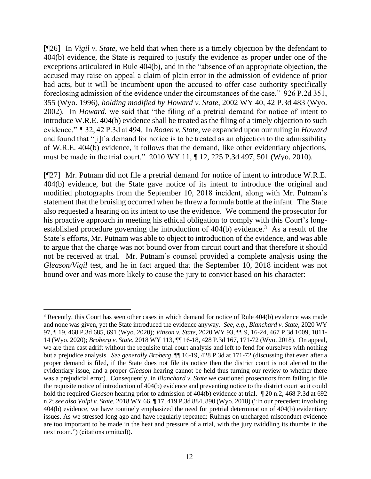[¶26] In *Vigil v. State*, we held that when there is a timely objection by the defendant to 404(b) evidence, the State is required to justify the evidence as proper under one of the exceptions articulated in Rule 404(b), and in the "absence of an appropriate objection, the accused may raise on appeal a claim of plain error in the admission of evidence of prior bad acts, but it will be incumbent upon the accused to offer case authority specifically foreclosing admission of the evidence under the circumstances of the case." 926 P.2d 351, 355 (Wyo. 1996), *holding modified by Howard v. State*, 2002 WY 40, 42 P.3d 483 (Wyo. 2002). In *Howard*, we said that "the filing of a pretrial demand for notice of intent to introduce W.R.E. 404(b) evidence shall be treated as the filing of a timely objection to such evidence." ¶ 32, 42 P.3d at 494. In *Roden v. State*, we expanded upon our ruling in *Howard* and found that "[i]f a demand for notice is to be treated as an objection to the admissibility of W.R.E. 404(b) evidence, it follows that the demand, like other evidentiary objections, must be made in the trial court." 2010 WY 11, ¶ 12, 225 P.3d 497, 501 (Wyo. 2010).

[¶27] Mr. Putnam did not file a pretrial demand for notice of intent to introduce W.R.E. 404(b) evidence, but the State gave notice of its intent to introduce the original and modified photographs from the September 10, 2018 incident, along with Mr. Putnam's statement that the bruising occurred when he threw a formula bottle at the infant. The State also requested a hearing on its intent to use the evidence. We commend the prosecutor for his proactive approach in meeting his ethical obligation to comply with this Court's longestablished procedure governing the introduction of 404(b) evidence.<sup>3</sup> As a result of the State's efforts, Mr. Putnam was able to object to introduction of the evidence, and was able to argue that the charge was not bound over from circuit court and that therefore it should not be received at trial. Mr. Putnam's counsel provided a complete analysis using the *Gleason/Vigil* test, and he in fact argued that the September 10, 2018 incident was not bound over and was more likely to cause the jury to convict based on his character:

<sup>3</sup> Recently, this Court has seen other cases in which demand for notice of Rule 404(b) evidence was made and none was given, yet the State introduced the evidence anyway. *See, e.g.*, *Blanchard v. State*, 2020 WY 97, ¶ 19, 468 P.3d 685, 691 (Wyo. 2020); *Vinson v. State*, 2020 WY 93, ¶¶ 9, 16-24, 467 P.3d 1009, 1011- 14 (Wyo. 2020); *Broberg v. State*, 2018 WY 113, ¶¶ 16-18, 428 P.3d 167, 171-72 (Wyo. 2018). On appeal, we are then cast adrift without the requisite trial court analysis and left to fend for ourselves with nothing but a prejudice analysis. *See generally Broberg*, ¶¶ 16-19, 428 P.3d at 171-72 (discussing that even after a proper demand is filed, if the State does not file its notice then the district court is not alerted to the evidentiary issue, and a proper *Gleason* hearing cannot be held thus turning our review to whether there was a prejudicial error). Consequently, in *Blanchard v. State* we cautioned prosecutors from failing to file the requisite notice of introduction of 404(b) evidence and preventing notice to the district court so it could hold the required *Gleason* hearing prior to admission of 404(b) evidence at trial.  $\sqrt{\ }$  20 n.2, 468 P.3d at 692 n.2; *see also Volpi v. State*, 2018 WY 66, ¶ 17, 419 P.3d 884, 890 (Wyo. 2018) ("In our precedent involving 404(b) evidence, we have routinely emphasized the need for pretrial determination of 404(b) evidentiary issues. As we stressed long ago and have regularly repeated: Rulings on uncharged misconduct evidence are too important to be made in the heat and pressure of a trial, with the jury twiddling its thumbs in the next room.") (citations omitted)).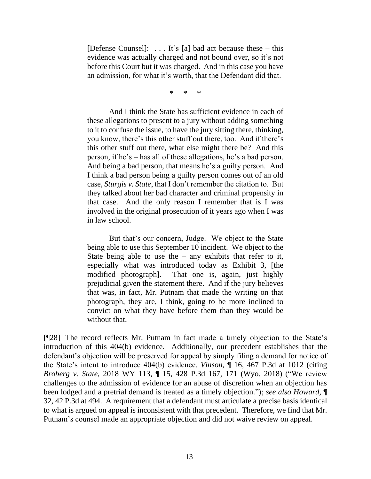[Defense Counsel]:  $\dots$  It's [a] bad act because these – this evidence was actually charged and not bound over, so it's not before this Court but it was charged. And in this case you have an admission, for what it's worth, that the Defendant did that.

\* \* \*

And I think the State has sufficient evidence in each of these allegations to present to a jury without adding something to it to confuse the issue, to have the jury sitting there, thinking, you know, there's this other stuff out there, too. And if there's this other stuff out there, what else might there be? And this person, if he's – has all of these allegations, he's a bad person. And being a bad person, that means he's a guilty person. And I think a bad person being a guilty person comes out of an old case, *Sturgis v. State*, that I don't remember the citation to. But they talked about her bad character and criminal propensity in that case. And the only reason I remember that is I was involved in the original prosecution of it years ago when I was in law school.

But that's our concern, Judge. We object to the State being able to use this September 10 incident. We object to the State being able to use the  $-$  any exhibits that refer to it, especially what was introduced today as Exhibit 3, [the modified photograph]. That one is, again, just highly prejudicial given the statement there. And if the jury believes that was, in fact, Mr. Putnam that made the writing on that photograph, they are, I think, going to be more inclined to convict on what they have before them than they would be without that.

[¶28] The record reflects Mr. Putnam in fact made a timely objection to the State's introduction of this 404(b) evidence. Additionally, our precedent establishes that the defendant's objection will be preserved for appeal by simply filing a demand for notice of the State's intent to introduce 404(b) evidence. *Vinson*, ¶ 16, 467 P.3d at 1012 (citing *Broberg v. State*, 2018 WY 113, ¶ 15, 428 P.3d 167, 171 (Wyo. 2018) ("We review challenges to the admission of evidence for an abuse of discretion when an objection has been lodged and a pretrial demand is treated as a timely objection."); *see also Howard*, ¶ 32, 42 P.3d at 494. A requirement that a defendant must articulate a precise basis identical to what is argued on appeal is inconsistent with that precedent. Therefore, we find that Mr. Putnam's counsel made an appropriate objection and did not waive review on appeal.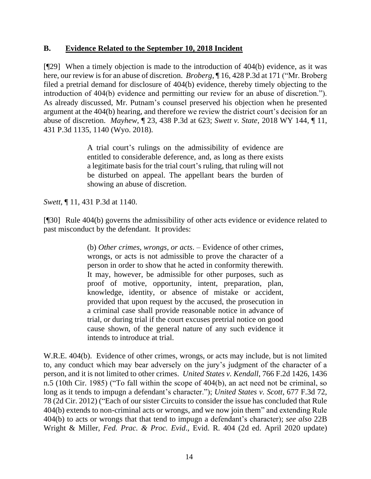### **B. Evidence Related to the September 10, 2018 Incident**

[¶29] When a timely objection is made to the introduction of 404(b) evidence, as it was here, our review is for an abuse of discretion. *Broberg*, ¶ 16, 428 P.3d at 171 ("Mr. Broberg filed a pretrial demand for disclosure of 404(b) evidence, thereby timely objecting to the introduction of 404(b) evidence and permitting our review for an abuse of discretion."). As already discussed, Mr. Putnam's counsel preserved his objection when he presented argument at the 404(b) hearing, and therefore we review the district court's decision for an abuse of discretion. *Mayhew*, ¶ 23, 438 P.3d at 623; *Swett v. State*, 2018 WY 144, ¶ 11, 431 P.3d 1135, 1140 (Wyo. 2018).

> A trial court's rulings on the admissibility of evidence are entitled to considerable deference, and, as long as there exists a legitimate basis for the trial court's ruling, that ruling will not be disturbed on appeal. The appellant bears the burden of showing an abuse of discretion.

*Swett*, ¶ 11, 431 P.3d at 1140.

[¶30] Rule 404(b) governs the admissibility of other acts evidence or evidence related to past misconduct by the defendant. It provides:

> (b) *Other crimes, wrongs, or acts*. – Evidence of other crimes, wrongs, or acts is not admissible to prove the character of a person in order to show that he acted in conformity therewith. It may, however, be admissible for other purposes, such as proof of motive, opportunity, intent, preparation, plan, knowledge, identity, or absence of mistake or accident, provided that upon request by the accused, the prosecution in a criminal case shall provide reasonable notice in advance of trial, or during trial if the court excuses pretrial notice on good cause shown, of the general nature of any such evidence it intends to introduce at trial.

W.R.E. 404(b). Evidence of other crimes, wrongs, or acts may include, but is not limited to, any conduct which may bear adversely on the jury's judgment of the character of a person, and it is not limited to other crimes. *United States v. Kendall*, 766 F.2d 1426, 1436 n.5 (10th Cir. 1985) ("To fall within the scope of 404(b), an act need not be criminal, so long as it tends to impugn a defendant's character."); *United States v. Scott*, 677 F.3d 72, 78 (2d Cir. 2012) ("Each of our sister Circuits to consider the issue has concluded that Rule 404(b) extends to non-criminal acts or wrongs, and we now join them" and extending Rule 404(b) to acts or wrongs that that tend to impugn a defendant's character); *see also* 22B Wright & Miller, *Fed. Prac. & Proc. Evid*., Evid. R. 404 (2d ed. April 2020 update)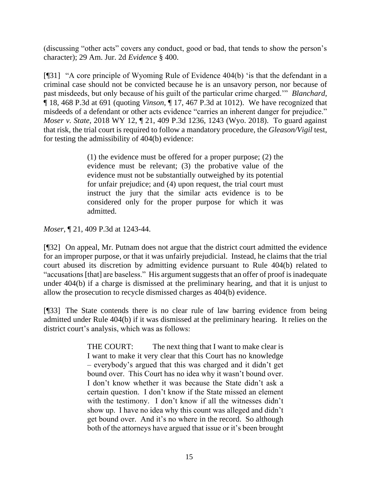(discussing "other acts" covers any conduct, good or bad, that tends to show the person's character); 29 Am. Jur. 2d *Evidence* § 400.

[¶31] "A core principle of Wyoming Rule of Evidence 404(b) 'is that the defendant in a criminal case should not be convicted because he is an unsavory person, nor because of past misdeeds, but only because of his guilt of the particular crime charged.'" *Blanchard*, ¶ 18, 468 P.3d at 691 (quoting *Vinson*, ¶ 17, 467 P.3d at 1012). We have recognized that misdeeds of a defendant or other acts evidence "carries an inherent danger for prejudice." *Moser v. State*, 2018 WY 12, ¶ 21, 409 P.3d 1236, 1243 (Wyo. 2018). To guard against that risk, the trial court is required to follow a mandatory procedure, the *Gleason/Vigil* test, for testing the admissibility of 404(b) evidence:

> (1) the evidence must be offered for a proper purpose; (2) the evidence must be relevant; (3) the probative value of the evidence must not be substantially outweighed by its potential for unfair prejudice; and (4) upon request, the trial court must instruct the jury that the similar acts evidence is to be considered only for the proper purpose for which it was admitted.

*Moser*, ¶ 21, 409 P.3d at 1243-44.

[¶32] On appeal, Mr. Putnam does not argue that the district court admitted the evidence for an improper purpose, or that it was unfairly prejudicial. Instead, he claims that the trial court abused its discretion by admitting evidence pursuant to Rule 404(b) related to "accusations [that] are baseless." His argument suggests that an offer of proof is inadequate under 404(b) if a charge is dismissed at the preliminary hearing, and that it is unjust to allow the prosecution to recycle dismissed charges as 404(b) evidence.

[¶33] The State contends there is no clear rule of law barring evidence from being admitted under Rule 404(b) if it was dismissed at the preliminary hearing. It relies on the district court's analysis, which was as follows:

> THE COURT: The next thing that I want to make clear is I want to make it very clear that this Court has no knowledge – everybody's argued that this was charged and it didn't get bound over. This Court has no idea why it wasn't bound over. I don't know whether it was because the State didn't ask a certain question. I don't know if the State missed an element with the testimony. I don't know if all the witnesses didn't show up. I have no idea why this count was alleged and didn't get bound over. And it's no where in the record. So although both of the attorneys have argued that issue or it's been brought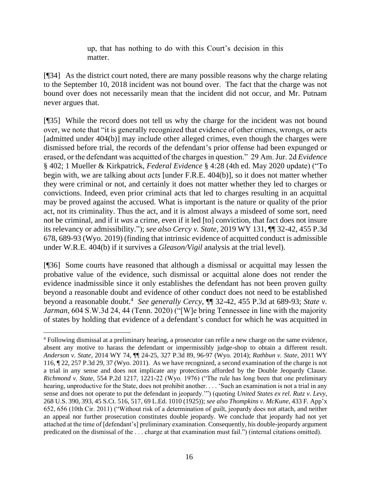up, that has nothing to do with this Court's decision in this matter.

[¶34] As the district court noted, there are many possible reasons why the charge relating to the September 10, 2018 incident was not bound over. The fact that the charge was not bound over does not necessarily mean that the incident did not occur, and Mr. Putnam never argues that.

[¶35] While the record does not tell us why the charge for the incident was not bound over, we note that "it is generally recognized that evidence of other crimes, wrongs, or acts [admitted under 404(b)] may include other alleged crimes, even though the charges were dismissed before trial, the records of the defendant's prior offense had been expunged or erased, or the defendant was acquitted of the charges in question." 29 Am. Jur. 2d *Evidence* § 402; 1 Mueller & Kirkpatrick, *Federal Evidence* § 4:28 (4th ed. May 2020 update) ("To begin with, we are talking about *acts* [under F.R.E. 404(b)], so it does not matter whether they were criminal or not, and certainly it does not matter whether they led to charges or convictions. Indeed, even prior criminal acts that led to charges resulting in an acquittal may be proved against the accused. What is important is the nature or quality of the prior act, not its criminality. Thus the act, and it is almost always a misdeed of some sort, need not be criminal, and if it *was* a crime, even if it led [to] conviction, that fact does not insure its relevancy or admissibility."); *see also Cercy v. State*, 2019 WY 131, ¶¶ 32-42, 455 P.3d 678, 689-93 (Wyo. 2019) (finding that intrinsic evidence of acquitted conduct is admissible under W.R.E. 404(b) if it survives a *Gleason/Vigil* analysis at the trial level).

[¶36] Some courts have reasoned that although a dismissal or acquittal may lessen the probative value of the evidence, such dismissal or acquittal alone does not render the evidence inadmissible since it only establishes the defendant has not been proven guilty beyond a reasonable doubt and evidence of other conduct does not need to be established beyond a reasonable doubt.<sup>4</sup> *See generally Cercy*, ¶¶ 32-42, 455 P.3d at 689-93; *State v. Jarman*, 604 S.W.3d 24, 44 (Tenn. 2020) ("[W]e bring Tennessee in line with the majority of states by holding that evidence of a defendant's conduct for which he was acquitted in

<sup>&</sup>lt;sup>4</sup> Following dismissal at a preliminary hearing, a prosecutor can refile a new charge on the same evidence, absent any motive to harass the defendant or impermissibly judge-shop to obtain a different result. *Anderson v. State*, 2014 WY 74, ¶¶ 24-25, 327 P.3d 89, 96-97 (Wyo. 2014); *Rathbun v. State*, 2011 WY 116, ¶ 22, 257 P.3d 29, 37 (Wyo. 2011). As we have recognized, a second examination of the charge is not a trial in any sense and does not implicate any protections afforded by the Double Jeopardy Clause. *Richmond v. State*, 554 P.2d 1217, 1221-22 (Wyo. 1976) ("The rule has long been that one preliminary hearing, unproductive for the State, does not prohibit another. . . . 'Such an examination is not a trial in any sense and does not operate to put the defendant in jeopardy.'") (quoting *United States ex rel. Rutz v. Levy*, 268 U.S. 390, 393, 45 S.Ct. 516, 517, 69 L.Ed. 1010 (1925)); *see also Thompkins v. McKune*, 433 F. App'x 652, 656 (10th Cir. 2011) ("Without risk of a determination of guilt, jeopardy does not attach, and neither an appeal nor further prosecution constitutes double jeopardy. We conclude that jeopardy had not yet attached at the time of [defendant's] preliminary examination. Consequently, his double-jeopardy argument predicated on the dismissal of the . . . charge at that examination must fail.") (internal citations omitted).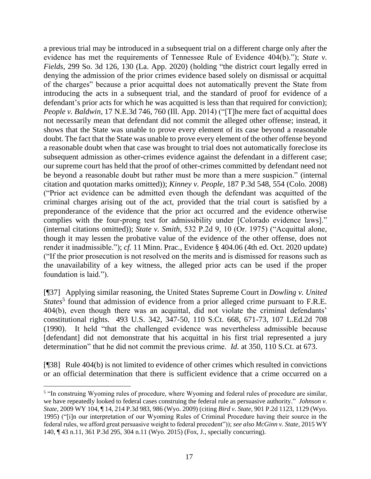a previous trial may be introduced in a subsequent trial on a different charge only after the evidence has met the requirements of Tennessee Rule of Evidence 404(b)."); *State v. Fields*, 299 So. 3d 126, 130 (La. App. 2020) (holding "the district court legally erred in denying the admission of the prior crimes evidence based solely on dismissal or acquittal of the charges" because a prior acquittal does not automatically prevent the State from introducing the acts in a subsequent trial, and the standard of proof for evidence of a defendant's prior acts for which he was acquitted is less than that required for conviction); *People v. Baldwin*, 17 N.E.3d 746, 760 (Ill. App. 2014) ("The mere fact of acquittal does not necessarily mean that defendant did not commit the alleged other offense; instead, it shows that the State was unable to prove every element of its case beyond a reasonable doubt. The fact that the State was unable to prove every element of the other offense beyond a reasonable doubt when that case was brought to trial does not automatically foreclose its subsequent admission as other-crimes evidence against the defendant in a different case; our supreme court has held that the proof of other-crimes committed by defendant need not be beyond a reasonable doubt but rather must be more than a mere suspicion." (internal citation and quotation marks omitted)); *Kinney v. People*, 187 P.3d 548, 554 (Colo. 2008) ("Prior act evidence can be admitted even though the defendant was acquitted of the criminal charges arising out of the act, provided that the trial court is satisfied by a preponderance of the evidence that the prior act occurred and the evidence otherwise complies with the four-prong test for admissibility under [Colorado evidence laws]." (internal citations omitted)); *State v. Smith*, 532 P.2d 9, 10 (Or. 1975) ("Acquittal alone, though it may lessen the probative value of the evidence of the other offense, does not render it inadmissible."); *cf.* 11 Minn. Prac., Evidence § 404.06 (4th ed. Oct. 2020 update) ("If the prior prosecution is not resolved on the merits and is dismissed for reasons such as the unavailability of a key witness, the alleged prior acts can be used if the proper foundation is laid.").

[¶37] Applying similar reasoning, the United States Supreme Court in *Dowling v. United*  States<sup>5</sup> found that admission of evidence from a prior alleged crime pursuant to F.R.E. 404(b), even though there was an acquittal, did not violate the criminal defendants' constitutional rights. 493 U.S. 342, 347-50, 110 S.Ct. 668, 671-73, 107 L.Ed.2d 708 (1990). It held "that the challenged evidence was nevertheless admissible because [defendant] did not demonstrate that his acquittal in his first trial represented a jury determination" that he did not commit the previous crime. *Id.* at 350, 110 S.Ct. at 673.

[¶38] Rule 404(b) is not limited to evidence of other crimes which resulted in convictions or an official determination that there is sufficient evidence that a crime occurred on a

<sup>&</sup>lt;sup>5</sup> "In construing Wyoming rules of procedure, where Wyoming and federal rules of procedure are similar, we have repeatedly looked to federal cases construing the federal rule as persuasive authority." *Johnson v. State*, 2009 WY 104, ¶ 14, 214 P.3d 983, 986 (Wyo. 2009) (citing *Bird v. State*, 901 P.2d 1123, 1129 (Wyo. 1995) ("[i]n our interpretation of our Wyoming Rules of Criminal Procedure having their source in the federal rules, we afford great persuasive weight to federal precedent")); *see also McGinn v. State*, 2015 WY 140, ¶ 43 n.11, 361 P.3d 295, 304 n.11 (Wyo. 2015) (Fox, J., specially concurring).